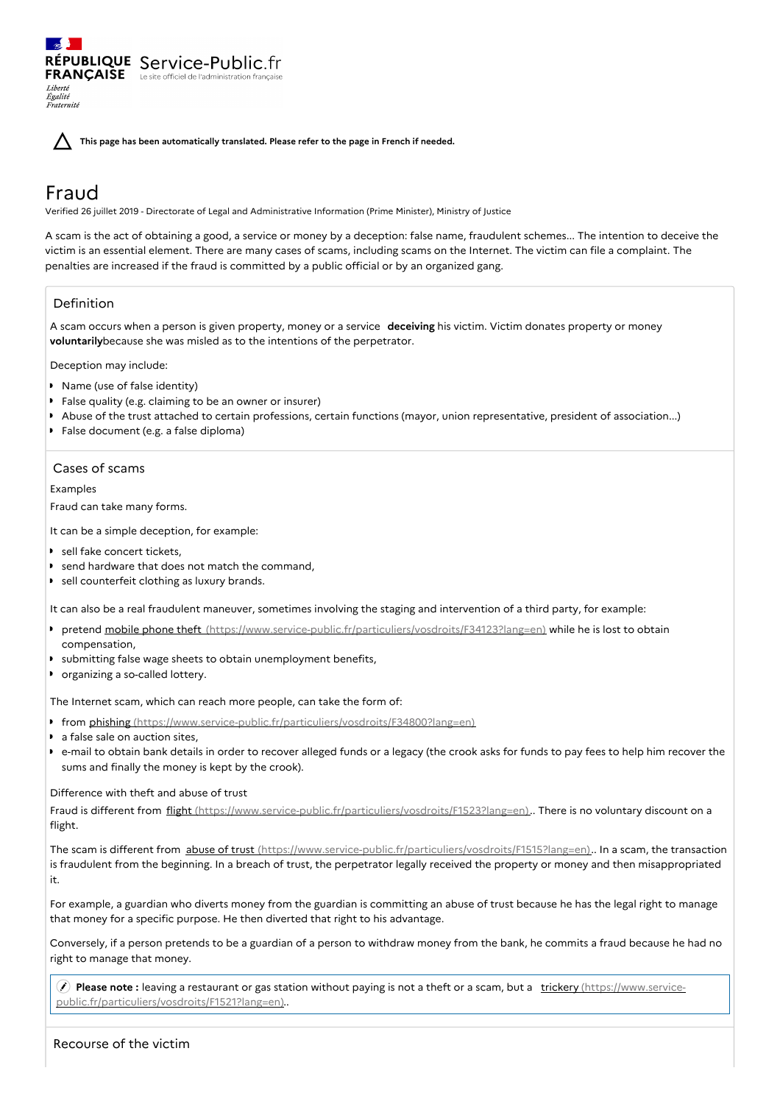**This page has been automatically translated. Please refer to the page in French if needed.**

# Fraud

Liberté Égalité Fraternité

Verified 26 juillet 2019 - Directorate of Legal and Administrative Information (Prime Minister), Ministry of Justice

A scam is the act of obtaining a good, a service or money by a deception: false name, fraudulent schemes... The intention to deceive the victim is an essential element. There are many cases of scams, including scams on the Internet. The victim can file a complaint. The penalties are increased if the fraud is committed by a public official or by an organized gang.

# Definition

A scam occurs when a person is given property, money or a service **deceiving** his victim. Victim donates property or money **voluntarily**because she was misled as to the intentions of the perpetrator.

Deception may include:

- **Name (use of false identity)**
- False quality (e.g. claiming to be an owner or insurer)
- Abuse of the trust attached to certain professions, certain functions (mayor, union representative, president of association...)
- False document (e.g. a false diploma)

RÉPUBLIQUE Service-Public.fr **FRANÇAISE** Le site officiel de l'administration fran

# Cases of scams

Examples

Fraud can take many forms.

It can be a simple deception, for example:

- sell fake concert tickets.
- send hardware that does not match the command,
- **D** sell counterfeit clothing as luxury brands.

It can also be a real fraudulent maneuver, sometimes involving the staging and intervention of a third party, for example:

- **P** pretend mobile phone theft [\(https://www.service-public.fr/particuliers/vosdroits/F34123?lang=en\)](https://www.service-public.fr/particuliers/vosdroits/F34123?lang=en) while he is lost to obtain compensation,
- submitting false wage sheets to obtain unemployment benefits,
- **D** organizing a so-called lottery.

The Internet scam, which can reach more people, can take the form of:

- from phishing [\(https://www.service-public.fr/particuliers/vosdroits/F34800?lang=en\)](https://www.service-public.fr/particuliers/vosdroits/F34800?lang=en)
- a false sale on auction sites,
- e-mail to obtain bank details in order to recover alleged funds or a legacy (the crook asks for funds to pay fees to help him recover the sums and finally the money is kept by the crook).

# Difference with theft and abuse of trust

Fraud is different from flight [\(https://www.service-public.fr/particuliers/vosdroits/F1523?lang=en\)](https://www.service-public.fr/particuliers/vosdroits/F1523?lang=en).. There is no voluntary discount on a flight.

The scam is different from abuse of trust [\(https://www.service-public.fr/particuliers/vosdroits/F1515?lang=en\)](https://www.service-public.fr/particuliers/vosdroits/F1515?lang=en).. In a scam, the transaction is fraudulent from the beginning. In a breach of trust, the perpetrator legally received the property or money and then misappropriated it.

For example, a guardian who diverts money from the guardian is committing an abuse of trust because he has the legal right to manage that money for a specific purpose. He then diverted that right to his advantage.

Conversely, if a person pretends to be a guardian of a person to withdraw money from the bank, he commits a fraud because he had no right to manage that money.

 **Please note :** leaving a restaurant or gas station without paying is not a theft or a scam, but a trickery (https://www.service[public.fr/particuliers/vosdroits/F1521?lang=en\)..](https://www.service-public.fr/particuliers/vosdroits/F1521?lang=en)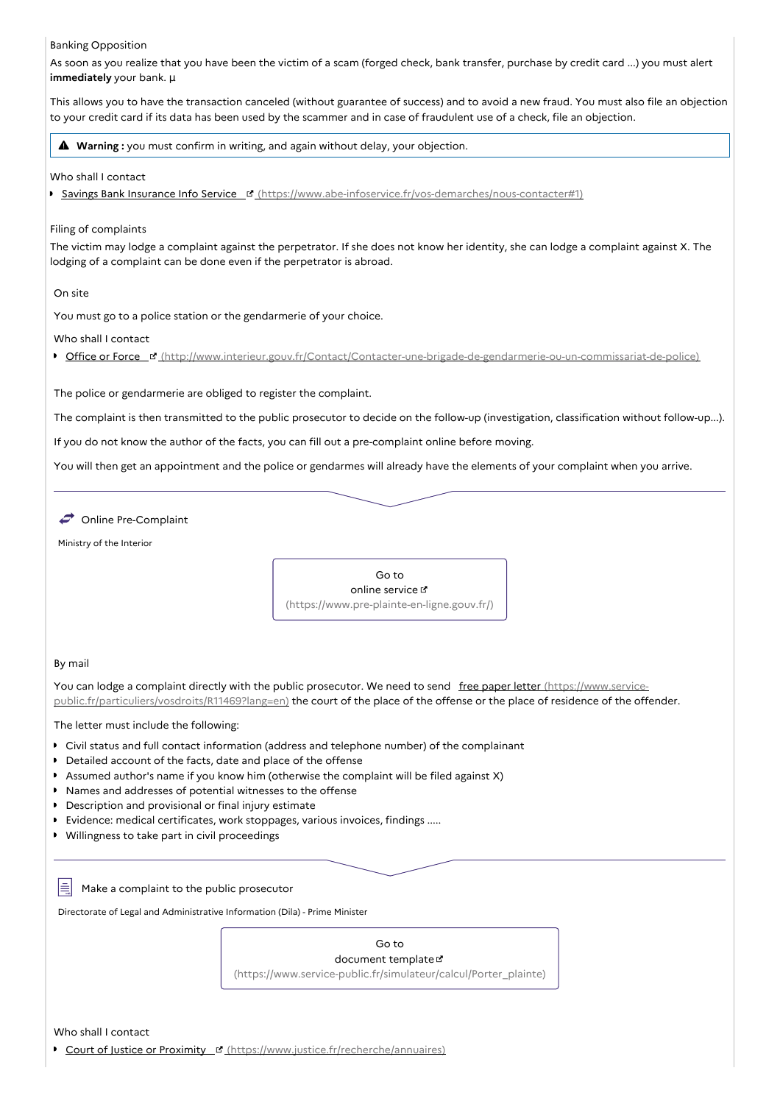#### Banking Opposition

As soon as you realize that you have been the victim of a scam (forged check, bank transfer, purchase by credit card ...) you must alert **immediately** your bank. µ

This allows you to have the transaction canceled (without guarantee of success) and to avoid a new fraud. You must also file an objection to your credit card if its data has been used by the scammer and in case of fraudulent use of a check, file an objection.

**Warning :** you must confirm in writing, and again without delay, your objection.

### Who shall I contact

Savings Bank Insurance Info Service [\(https://www.abe-infoservice.fr/vos-demarches/nous-contacter#1\)](https://www.abe-infoservice.fr/vos-demarches/nous-contacter#1)

## Filing of complaints

The victim may lodge a complaint against the perpetrator. If she does not know her identity, she can lodge a complaint against X. The lodging of a complaint can be done even if the perpetrator is abroad.

On site

You must go to a police station or the gendarmerie of your choice.

Who shall I contact

● Office or Force ¤ [\(http://www.interieur.gouv.fr/Contact/Contacter-une-brigade-de-gendarmerie-ou-un-commissariat-de-police\)](http://www.interieur.gouv.fr/Contact/Contacter-une-brigade-de-gendarmerie-ou-un-commissariat-de-police)

The police or gendarmerie are obliged to register the complaint.

The complaint is then transmitted to the public prosecutor to decide on the follow-up (investigation, classification without follow-up...).

If you do not know the author of the facts, you can fill out a pre-complaint online before moving.

You will then get an appointment and the police or gendarmes will already have the elements of your complaint when you arrive.

Online Pre-Complaint

Ministry of the Interior



# By mail

You can lodge a complaint directly with the public prosecutor. We need to send free paper letter (https://www.service[public.fr/particuliers/vosdroits/R11469?lang=en\)](https://www.service-public.fr/particuliers/vosdroits/R11469?lang=en) the court of the place of the offense or the place of residence of the offender.

The letter must include the following:

- Civil status and full contact information (address and telephone number) of the complainant
- Detailed account of the facts, date and place of the offense
- Assumed author's name if you know him (otherwise the complaint will be filed against X)
- Names and addresses of potential witnesses to the offense
- **Description and provisional or final injury estimate**
- Evidence: medical certificates, work stoppages, various invoices, findings .....
- Willingness to take part in civil proceedings

l≘i Make a complaint to the public prosecutor

Directorate of Legal and Administrative Information (Dila) - Prime Minister

Go to document template

[\(https://www.service-public.fr/simulateur/calcul/Porter\\_plainte\)](https://www.service-public.fr/simulateur/calcul/Porter_plainte)

Who shall Lcontact

Court of Justice or Proximity [\(https://www.justice.fr/recherche/annuaires\)](https://www.justice.fr/recherche/annuaires)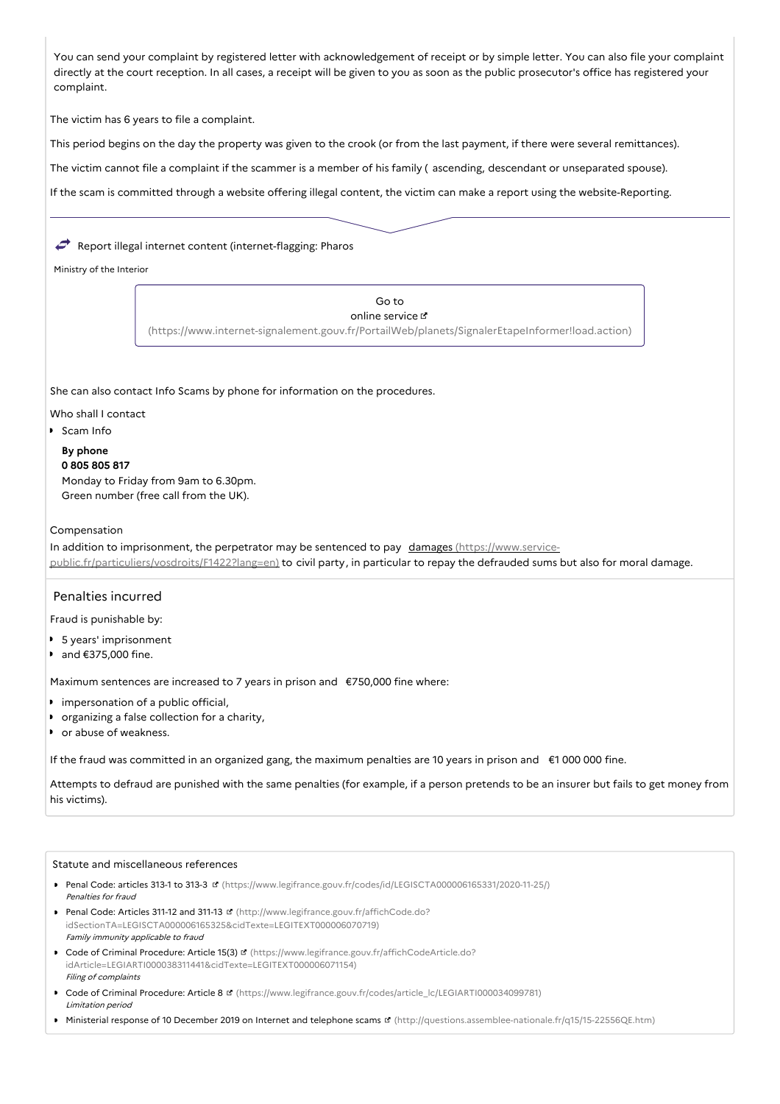You can send your complaint by registered letter with acknowledgement of receipt or by simple letter. You can also file your complaint directly at the court reception. In all cases, a receipt will be given to you as soon as the public prosecutor's office has registered your complaint.

The victim has 6 years to file a complaint.

This period begins on the day the property was given to the crook (or from the last payment, if there were several remittances).

The victim cannot file a complaint if the scammer is a member of his family ( ascending, descendant or unseparated spouse).

If the scam is committed through a website offering illegal content, the victim can make a report using the website-Reporting.

# Report illegal internet content (internet-flagging: Pharos

Ministry of the Interior

Go to online service

[\(https://www.internet-signalement.gouv.fr/PortailWeb/planets/SignalerEtapeInformer!load.action\)](https://www.internet-signalement.gouv.fr/PortailWeb/planets/SignalerEtapeInformer!load.action)

She can also contact Info Scams by phone for information on the procedures.

#### Who shall I contact

**Scam Info** 

# **By phone**

**0 805 805 817** Monday to Friday from 9am to 6.30pm. Green number (free call from the UK).

## Compensation

In addition to imprisonment, the perpetrator may be sentenced to pay damages (https://www.service[public.fr/particuliers/vosdroits/F1422?lang=en\)](https://www.service-public.fr/particuliers/vosdroits/F1422?lang=en) to civil party, in particular to repay the defrauded sums but also for moral damage.

# Penalties incurred

Fraud is punishable by:

- 5 years' imprisonment
- and €375,000 fine.

Maximum sentences are increased to 7 years in prison and €750,000 fine where:

- **I** impersonation of a public official,
- **•** organizing a false collection for a charity,
- **•** or abuse of weakness.

If the fraud was committed in an organized gang, the maximum penalties are 10 years in prison and €1 000 000 fine.

Attempts to defraud are punished with the same penalties (for example, if a person pretends to be an insurer but fails to get money from his victims).

#### Statute and miscellaneous references

- Penal Code: articles 313-1 to 313-3 L [\(https://www.legifrance.gouv.fr/codes/id/LEGISCTA000006165331/2020-11-25/\)](https://www.legifrance.gouv.fr/codes/id/LEGISCTA000006165331/2020-11-25/) Penalties for fraud
- Penal Code: Articles 311-12 and 311-13 **B** (http://www.legifrance.gouv.fr/affichCode.do? [idSectionTA=LEGISCTA000006165325&cidTexte=LEGITEXT000006070719\)](http://www.legifrance.gouv.fr/affichCode.do?idSectionTA=LEGISCTA000006165325&cidTexte=LEGITEXT000006070719) Family immunity applicable to fraud
- Code of Criminal Procedure: Article 15(3) <a>
Inttps://www.legifrance.gouv.fr/affichCodeArticle.do? [idArticle=LEGIARTI000038311441&cidTexte=LEGITEXT000006071154\)](https://www.legifrance.gouv.fr/affichCodeArticle.do?idArticle=LEGIARTI000038311441&cidTexte=LEGITEXT000006071154) Filing of complaints
- Code of Criminal Procedure: Article 8 [\(https://www.legifrance.gouv.fr/codes/article\\_lc/LEGIARTI000034099781\)](https://www.legifrance.gouv.fr/codes/article_lc/LEGIARTI000034099781) Limitation period
- Ministerial response of 10 December 2019 on Internet and telephone scams & [\(http://questions.assemblee-nationale.fr/q15/15-22556QE.htm\)](http://questions.assemblee-nationale.fr/q15/15-22556QE.htm)